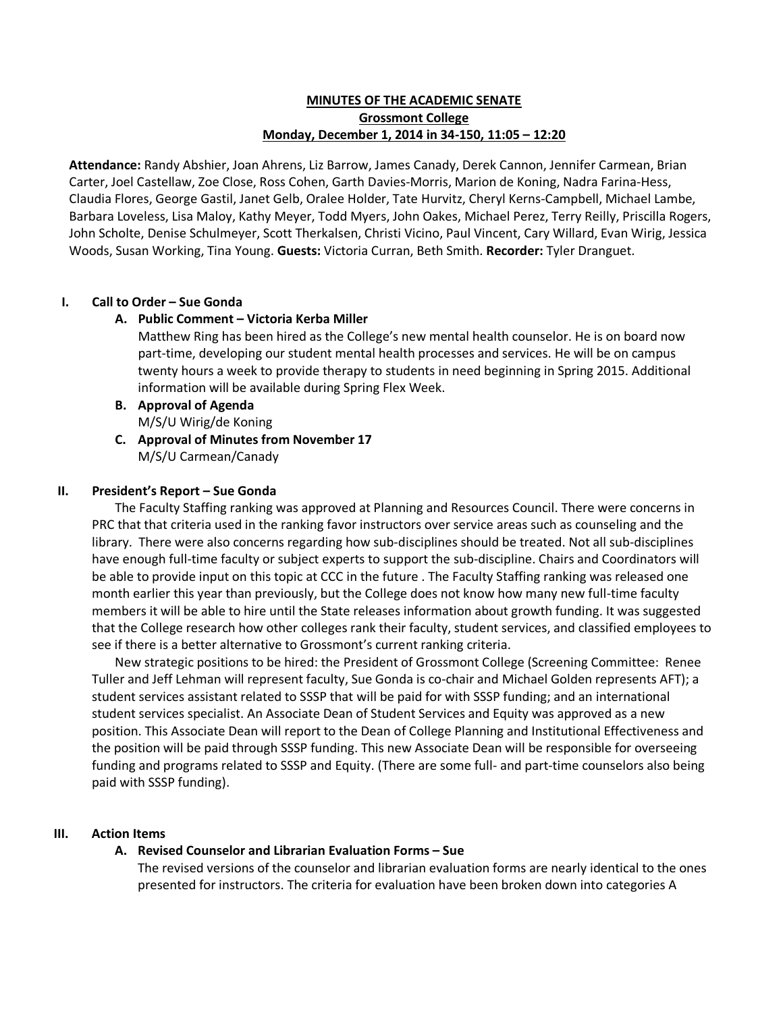# **MINUTES OF THE ACADEMIC SENATE Grossmont College Monday, December 1, 2014 in 34-150, 11:05 – 12:20**

**Attendance:** Randy Abshier, Joan Ahrens, Liz Barrow, James Canady, Derek Cannon, Jennifer Carmean, Brian Carter, Joel Castellaw, Zoe Close, Ross Cohen, Garth Davies-Morris, Marion de Koning, Nadra Farina-Hess, Claudia Flores, George Gastil, Janet Gelb, Oralee Holder, Tate Hurvitz, Cheryl Kerns-Campbell, Michael Lambe, Barbara Loveless, Lisa Maloy, Kathy Meyer, Todd Myers, John Oakes, Michael Perez, Terry Reilly, Priscilla Rogers, John Scholte, Denise Schulmeyer, Scott Therkalsen, Christi Vicino, Paul Vincent, Cary Willard, Evan Wirig, Jessica Woods, Susan Working, Tina Young. **Guests:** Victoria Curran, Beth Smith. **Recorder:** Tyler Dranguet.

## **I. Call to Order – Sue Gonda**

## **A. Public Comment – Victoria Kerba Miller**

Matthew Ring has been hired as the College's new mental health counselor. He is on board now part-time, developing our student mental health processes and services. He will be on campus twenty hours a week to provide therapy to students in need beginning in Spring 2015. Additional information will be available during Spring Flex Week.

#### **B. Approval of Agenda** M/S/U Wirig/de Koning

**C. Approval of Minutes from November 17** M/S/U Carmean/Canady

## **II. President's Report – Sue Gonda**

The Faculty Staffing ranking was approved at Planning and Resources Council. There were concerns in PRC that that criteria used in the ranking favor instructors over service areas such as counseling and the library. There were also concerns regarding how sub-disciplines should be treated. Not all sub-disciplines have enough full-time faculty or subject experts to support the sub-discipline. Chairs and Coordinators will be able to provide input on this topic at CCC in the future . The Faculty Staffing ranking was released one month earlier this year than previously, but the College does not know how many new full-time faculty members it will be able to hire until the State releases information about growth funding. It was suggested that the College research how other colleges rank their faculty, student services, and classified employees to see if there is a better alternative to Grossmont's current ranking criteria.

New strategic positions to be hired: the President of Grossmont College (Screening Committee: Renee Tuller and Jeff Lehman will represent faculty, Sue Gonda is co-chair and Michael Golden represents AFT); a student services assistant related to SSSP that will be paid for with SSSP funding; and an international student services specialist. An Associate Dean of Student Services and Equity was approved as a new position. This Associate Dean will report to the Dean of College Planning and Institutional Effectiveness and the position will be paid through SSSP funding. This new Associate Dean will be responsible for overseeing funding and programs related to SSSP and Equity. (There are some full- and part-time counselors also being paid with SSSP funding).

#### **III. Action Items**

# **A. Revised Counselor and Librarian Evaluation Forms – Sue**

The revised versions of the counselor and librarian evaluation forms are nearly identical to the ones presented for instructors. The criteria for evaluation have been broken down into categories A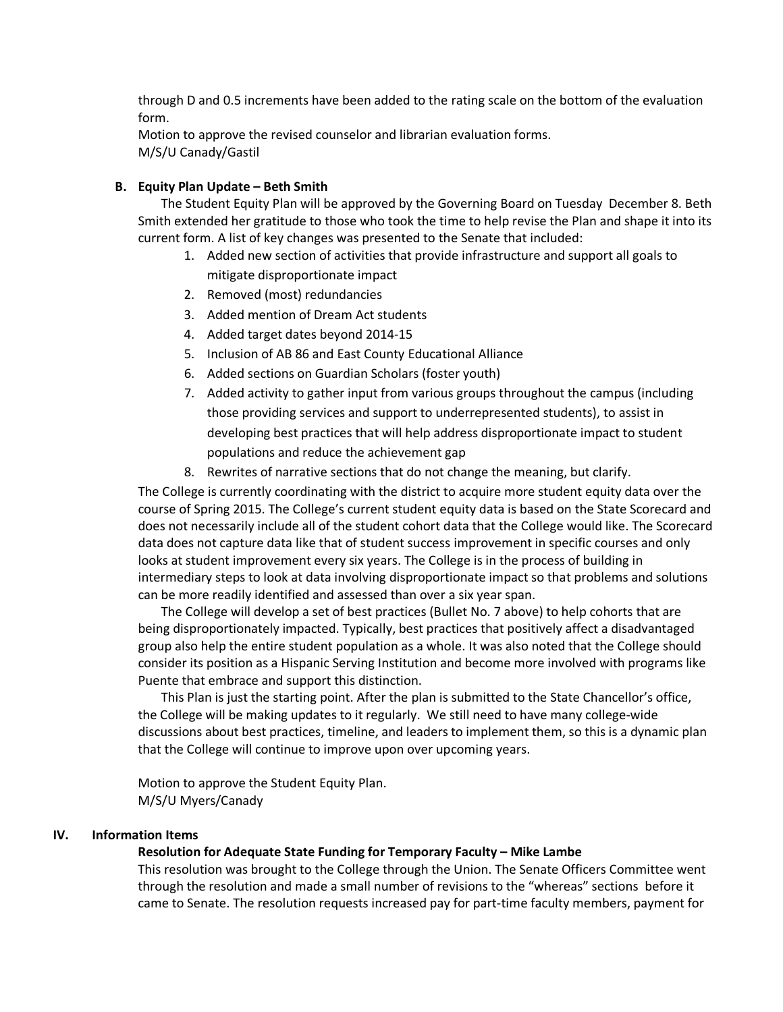through D and 0.5 increments have been added to the rating scale on the bottom of the evaluation form.

Motion to approve the revised counselor and librarian evaluation forms. M/S/U Canady/Gastil

# **B. Equity Plan Update – Beth Smith**

The Student Equity Plan will be approved by the Governing Board on Tuesday December 8. Beth Smith extended her gratitude to those who took the time to help revise the Plan and shape it into its current form. A list of key changes was presented to the Senate that included:

- 1. Added new section of activities that provide infrastructure and support all goals to mitigate disproportionate impact
- 2. Removed (most) redundancies
- 3. Added mention of Dream Act students
- 4. Added target dates beyond 2014-15
- 5. Inclusion of AB 86 and East County Educational Alliance
- 6. Added sections on Guardian Scholars (foster youth)
- 7. Added activity to gather input from various groups throughout the campus (including those providing services and support to underrepresented students), to assist in developing best practices that will help address disproportionate impact to student populations and reduce the achievement gap
- 8. Rewrites of narrative sections that do not change the meaning, but clarify.

The College is currently coordinating with the district to acquire more student equity data over the course of Spring 2015. The College's current student equity data is based on the State Scorecard and does not necessarily include all of the student cohort data that the College would like. The Scorecard data does not capture data like that of student success improvement in specific courses and only looks at student improvement every six years. The College is in the process of building in intermediary steps to look at data involving disproportionate impact so that problems and solutions can be more readily identified and assessed than over a six year span.

The College will develop a set of best practices (Bullet No. 7 above) to help cohorts that are being disproportionately impacted. Typically, best practices that positively affect a disadvantaged group also help the entire student population as a whole. It was also noted that the College should consider its position as a Hispanic Serving Institution and become more involved with programs like Puente that embrace and support this distinction.

This Plan is just the starting point. After the plan is submitted to the State Chancellor's office, the College will be making updates to it regularly. We still need to have many college-wide discussions about best practices, timeline, and leaders to implement them, so this is a dynamic plan that the College will continue to improve upon over upcoming years.

Motion to approve the Student Equity Plan. M/S/U Myers/Canady

#### **IV. Information Items**

# **Resolution for Adequate State Funding for Temporary Faculty – Mike Lambe**

This resolution was brought to the College through the Union. The Senate Officers Committee went through the resolution and made a small number of revisions to the "whereas" sections before it came to Senate. The resolution requests increased pay for part-time faculty members, payment for